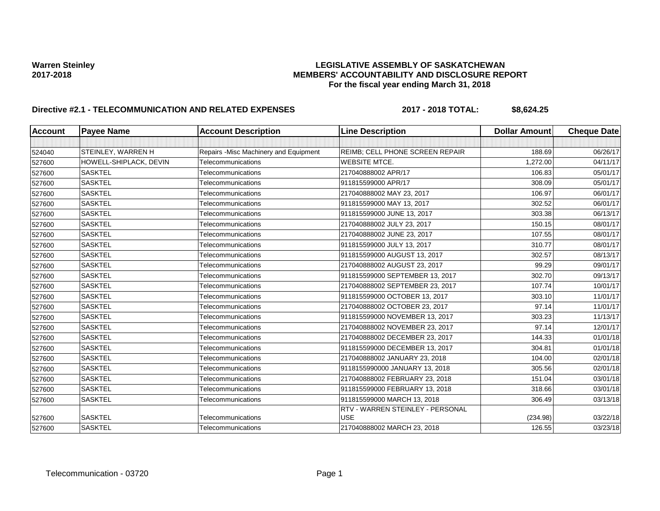### Warren Steinley<br>**LEGISLATIVE ASSEMBLY OF SASKATCHEWAN**<br>MEMBERS' ACCOUNTABILITY AND DISCLOSURE REF **2017-2018 MEMBERS' ACCOUNTABILITY AND DISCLOSURE REPORT For the fiscal year ending March 31, 2018**

# **Directive #2.1 - TELECOMMUNICATION AND RELATED EXPENSES 2017 - 2018 TOTAL: \$8,624.25**

| <b>Account</b> | <b>Payee Name</b>      | <b>Account Description</b>             | <b>Line Description</b>                | <b>Dollar Amount</b> | <b>Cheque Date</b> |
|----------------|------------------------|----------------------------------------|----------------------------------------|----------------------|--------------------|
|                |                        |                                        |                                        |                      |                    |
| 524040         | STEINLEY, WARREN H     | Repairs - Misc Machinery and Equipment | <b>REIMB: CELL PHONE SCREEN REPAIR</b> | 188.69               | 06/26/17           |
| 527600         | HOWELL-SHIPLACK, DEVIN | Telecommunications                     | <b>WEBSITE MTCE.</b>                   | 1,272.00             | 04/11/17           |
| 527600         | <b>SASKTEL</b>         | Telecommunications                     | 217040888002 APR/17                    | 106.83               | 05/01/17           |
| 527600         | <b>SASKTEL</b>         | Telecommunications                     | 911815599000 APR/17                    | 308.09               | 05/01/17           |
| 527600         | <b>SASKTEL</b>         | Telecommunications                     | 217040888002 MAY 23, 2017              | 106.97               | 06/01/17           |
| 527600         | <b>SASKTEL</b>         | Telecommunications                     | 911815599000 MAY 13, 2017              | 302.52               | 06/01/17           |
| 527600         | <b>SASKTEL</b>         | Telecommunications                     | 911815599000 JUNE 13, 2017             | 303.38               | 06/13/17           |
| 527600         | <b>SASKTEL</b>         | Telecommunications                     | 217040888002 JULY 23, 2017             | 150.15               | 08/01/17           |
| 527600         | <b>SASKTEL</b>         | Telecommunications                     | 217040888002 JUNE 23, 2017             | 107.55               | 08/01/17           |
| 527600         | <b>SASKTEL</b>         | Telecommunications                     | 911815599000 JULY 13, 2017             | 310.77               | 08/01/17           |
| 527600         | <b>SASKTEL</b>         | Telecommunications                     | 911815599000 AUGUST 13, 2017           | 302.57               | 08/13/17           |
| 527600         | <b>SASKTEL</b>         | Telecommunications                     | 217040888002 AUGUST 23, 2017           | 99.29                | 09/01/17           |
| 527600         | <b>SASKTEL</b>         | Telecommunications                     | 911815599000 SEPTEMBER 13, 2017        | 302.70               | 09/13/17           |
| 527600         | <b>SASKTEL</b>         | Telecommunications                     | 217040888002 SEPTEMBER 23, 2017        | 107.74               | 10/01/17           |
| 527600         | <b>SASKTEL</b>         | Telecommunications                     | 911815599000 OCTOBER 13, 2017          | 303.10               | 11/01/17           |
| 527600         | <b>SASKTEL</b>         | Telecommunications                     | 217040888002 OCTOBER 23, 2017          | 97.14                | 11/01/17           |
| 527600         | <b>SASKTEL</b>         | Telecommunications                     | 911815599000 NOVEMBER 13, 2017         | 303.23               | 11/13/17           |
| 527600         | <b>SASKTEL</b>         | Telecommunications                     | 217040888002 NOVEMBER 23, 2017         | 97.14                | 12/01/17           |
| 527600         | <b>SASKTEL</b>         | Telecommunications                     | 217040888002 DECEMBER 23, 2017         | 144.33               | 01/01/18           |
| 527600         | <b>SASKTEL</b>         | Telecommunications                     | 911815599000 DECEMBER 13, 2017         | 304.81               | 01/01/18           |
| 527600         | <b>SASKTEL</b>         | Telecommunications                     | 217040888002 JANUARY 23, 2018          | 104.00               | 02/01/18           |
| 527600         | <b>SASKTEL</b>         | Telecommunications                     | 9118155990000 JANUARY 13, 2018         | 305.56               | 02/01/18           |
| 527600         | <b>SASKTEL</b>         | Telecommunications                     | 217040888002 FEBRUARY 23, 2018         | 151.04               | 03/01/18           |
| 527600         | <b>SASKTEL</b>         | Telecommunications                     | 911815599000 FEBRUARY 13, 2018         | 318.66               | 03/01/18           |
| 527600         | <b>SASKTEL</b>         | Telecommunications                     | 911815599000 MARCH 13, 2018            | 306.49               | 03/13/18           |
|                |                        |                                        | RTV - WARREN STEINLEY - PERSONAL       |                      |                    |
| 527600         | <b>SASKTEL</b>         | Telecommunications                     | <b>USE</b>                             | (234.98)             | 03/22/18           |
| 527600         | <b>SASKTEL</b>         | Telecommunications                     | 217040888002 MARCH 23, 2018            | 126.55               | 03/23/18           |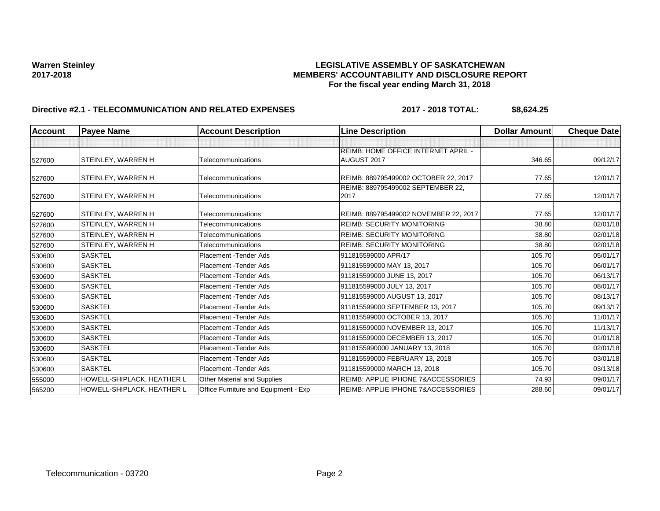## Warren Steinley<br>**LEGISLATIVE ASSEMBLY OF SASKATCHEWAN**<br>MEMBERS' ACCOUNTABILITY AND DISCLOSURE REF **2017-2018 MEMBERS' ACCOUNTABILITY AND DISCLOSURE REPORT For the fiscal year ending March 31, 2018**

# **Directive #2.1 - TELECOMMUNICATION AND RELATED EXPENSES 2017 - 2018 TOTAL: \$8,624.25**

| <b>Account</b> | <b>Payee Name</b>          | <b>Account Description</b>           | <b>Line Description</b>                       | <b>Dollar Amount</b> | <b>Cheque Date</b> |
|----------------|----------------------------|--------------------------------------|-----------------------------------------------|----------------------|--------------------|
|                |                            |                                      |                                               |                      |                    |
|                |                            |                                      | <b>REIMB: HOME OFFICE INTERNET APRIL -</b>    |                      |                    |
| 527600         | STEINLEY, WARREN H         | Telecommunications                   | AUGUST 2017                                   | 346.65               | 09/12/17           |
| 527600         | STEINLEY, WARREN H         | Telecommunications                   | REIMB: 889795499002 OCTOBER 22, 2017          | 77.65                | 12/01/17           |
|                |                            |                                      | REIMB: 889795499002 SEPTEMBER 22,             |                      |                    |
| 527600         | STEINLEY, WARREN H         | Telecommunications                   | 2017                                          | 77.65                | 12/01/17           |
| 527600         | STEINLEY, WARREN H         | Telecommunications                   | REIMB: 889795499002 NOVEMBER 22, 2017         | 77.65                | 12/01/17           |
| 527600         | STEINLEY, WARREN H         | Telecommunications                   | <b>REIMB: SECURITY MONITORING</b>             | 38.80                | 02/01/18           |
| 527600         | STEINLEY, WARREN H         | Telecommunications                   | <b>REIMB: SECURITY MONITORING</b>             | 38.80                | 02/01/18           |
| 527600         | <b>STEINLEY, WARREN H</b>  | Telecommunications                   | <b>REIMB: SECURITY MONITORING</b>             | 38.80                | 02/01/18           |
| 530600         | <b>SASKTEL</b>             | Placement - Tender Ads               | 911815599000 APR/17                           | 105.70               | 05/01/17           |
| 530600         | <b>SASKTEL</b>             | Placement - Tender Ads               | 911815599000 MAY 13, 2017                     | 105.70               | 06/01/17           |
| 530600         | <b>SASKTEL</b>             | Placement - Tender Ads               | 911815599000 JUNE 13, 2017                    | 105.70               | 06/13/17           |
| 530600         | <b>SASKTEL</b>             | Placement - Tender Ads               | 911815599000 JULY 13, 2017                    | 105.70               | 08/01/17           |
| 530600         | <b>SASKTEL</b>             | Placement - Tender Ads               | 911815599000 AUGUST 13, 2017                  | 105.70               | 08/13/17           |
| 530600         | <b>SASKTEL</b>             | Placement - Tender Ads               | 911815599000 SEPTEMBER 13, 2017               | 105.70               | 09/13/17           |
| 530600         | <b>SASKTEL</b>             | Placement - Tender Ads               | 911815599000 OCTOBER 13, 2017                 | 105.70               | 11/01/17           |
| 530600         | <b>SASKTEL</b>             | Placement - Tender Ads               | 911815599000 NOVEMBER 13, 2017                | 105.70               | 11/13/17           |
| 530600         | <b>SASKTEL</b>             | Placement - Tender Ads               | 911815599000 DECEMBER 13, 2017                | 105.70               | 01/01/18           |
| 530600         | <b>SASKTEL</b>             | Placement - Tender Ads               | 9118155990000 JANUARY 13, 2018                | 105.70               | 02/01/18           |
| 530600         | <b>SASKTEL</b>             | Placement - Tender Ads               | 911815599000 FEBRUARY 13, 2018                | 105.70               | 03/01/18           |
| 530600         | <b>SASKTEL</b>             | Placement - Tender Ads               | 911815599000 MARCH 13, 2018                   | 105.70               | 03/13/18           |
| 555000         | HOWELL-SHIPLACK, HEATHER L | Other Material and Supplies          | REIMB: APPLIE IPHONE 7&ACCESSORIES            | 74.93                | 09/01/17           |
| 565200         | HOWELL-SHIPLACK, HEATHER L | Office Furniture and Equipment - Exp | <b>REIMB: APPLIE IPHONE 7&amp;ACCESSORIES</b> | 288.60               | 09/01/17           |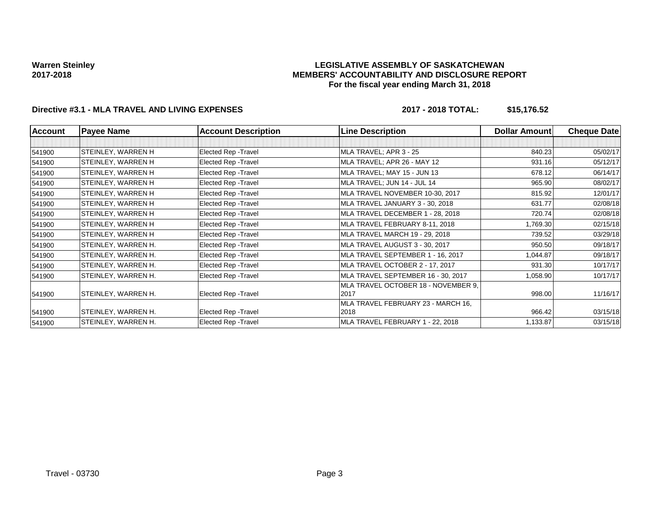#### **LEGISLATIVE ASSEMBLY OF SASKATCHEWAN MEMBERS' ACCOUNTABILITY AND DISCLOSURE REPORT For the fiscal year ending March 31, 2018**

# **Directive #3.1 - MLA TRAVEL AND LIVING EXPENSES 2017 - 2018 TOTAL: \$15,176.52**

| <b>Account</b> | <b>Payee Name</b>   | <b>Account Description</b> | <b>Line Description</b>                     | <b>Dollar Amount</b> | <b>Cheque Date</b> |
|----------------|---------------------|----------------------------|---------------------------------------------|----------------------|--------------------|
|                |                     |                            |                                             |                      |                    |
| 541900         | STEINLEY, WARREN H  | Elected Rep - Travel       | MLA TRAVEL; APR 3 - 25                      | 840.23               | 05/02/17           |
| 541900         | STEINLEY, WARREN H  | Elected Rep - Travel       | MLA TRAVEL; APR 26 - MAY 12                 | 931.16               | 05/12/17           |
| 541900         | STEINLEY, WARREN H  | Elected Rep - Travel       | MLA TRAVEL; MAY 15 - JUN 13                 | 678.12               | 06/14/17           |
| 541900         | STEINLEY, WARREN H  | Elected Rep - Travel       | MLA TRAVEL; JUN 14 - JUL 14                 | 965.90               | 08/02/17           |
| 541900         | STEINLEY, WARREN H  | Elected Rep - Travel       | MLA TRAVEL NOVEMBER 10-30, 2017             | 815.92               | 12/01/17           |
| 541900         | STEINLEY, WARREN H  | Elected Rep - Travel       | MLA TRAVEL JANUARY 3 - 30, 2018             | 631.77               | 02/08/18           |
| 541900         | STEINLEY, WARREN H  | Elected Rep - Travel       | MLA TRAVEL DECEMBER 1 - 28, 2018            | 720.74               | 02/08/18           |
| 541900         | STEINLEY, WARREN H  | Elected Rep - Travel       | MLA TRAVEL FEBRUARY 8-11, 2018              | 1,769.30             | 02/15/18           |
| 541900         | STEINLEY, WARREN H  | Elected Rep - Travel       | MLA TRAVEL MARCH 19 - 29, 2018              | 739.52               | 03/29/18           |
| 541900         | STEINLEY, WARREN H. | Elected Rep - Travel       | MLA TRAVEL AUGUST 3 - 30, 2017              | 950.50               | 09/18/17           |
| 541900         | STEINLEY, WARREN H. | Elected Rep - Travel       | MLA TRAVEL SEPTEMBER 1 - 16, 2017           | 1,044.87             | 09/18/17           |
| 541900         | STEINLEY, WARREN H. | Elected Rep - Travel       | MLA TRAVEL OCTOBER 2 - 17, 2017             | 931.30               | 10/17/17           |
| 541900         | STEINLEY, WARREN H. | Elected Rep - Travel       | MLA TRAVEL SEPTEMBER 16 - 30, 2017          | 1,058.90             | 10/17/17           |
| 541900         | STEINLEY, WARREN H. | Elected Rep - Travel       | MLA TRAVEL OCTOBER 18 - NOVEMBER 9,<br>2017 | 998.00               | 11/16/17           |
| 541900         | STEINLEY, WARREN H. | Elected Rep - Travel       | MLA TRAVEL FEBRUARY 23 - MARCH 16,<br>2018  | 966.42               | 03/15/18           |
| 541900         | STEINLEY, WARREN H. | Elected Rep - Travel       | MLA TRAVEL FEBRUARY 1 - 22, 2018            | 1,133.87             | 03/15/18           |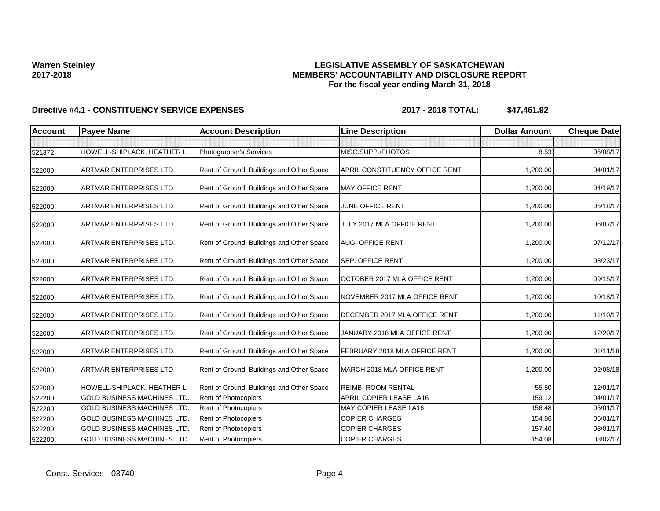## **LEGISLATIVE ASSEMBLY OF SASKATCHEWAN MEMBERS' ACCOUNTABILITY AND DISCLOSURE REPORT For the fiscal year ending March 31, 2018**

| <b>Account</b> | <b>Payee Name</b>                  | <b>Account Description</b>                | <b>Line Description</b>               | <b>Dollar Amount</b> | <b>Cheque Date</b> |
|----------------|------------------------------------|-------------------------------------------|---------------------------------------|----------------------|--------------------|
|                |                                    |                                           |                                       |                      |                    |
| 521372         | HOWELL-SHIPLACK, HEATHER L         | Photographer's Services                   | MISC.SUPP./PHOTOS                     | 8.53                 | 06/08/17           |
| 522000         | ARTMAR ENTERPRISES LTD.            | Rent of Ground, Buildings and Other Space | <b>APRIL CONSTITUENCY OFFICE RENT</b> | 1,200.00             | 04/01/17           |
| 522000         | ARTMAR ENTERPRISES LTD.            | Rent of Ground, Buildings and Other Space | <b>MAY OFFICE RENT</b>                | 1,200.00             | 04/19/17           |
| 522000         | <b>ARTMAR ENTERPRISES LTD.</b>     | Rent of Ground, Buildings and Other Space | JUNE OFFICE RENT                      | 1,200.00             | 05/18/17           |
| 522000         | <b>ARTMAR ENTERPRISES LTD.</b>     | Rent of Ground, Buildings and Other Space | JULY 2017 MLA OFFICE RENT             | 1,200.00             | 06/07/17           |
| 522000         | <b>ARTMAR ENTERPRISES LTD.</b>     | Rent of Ground, Buildings and Other Space | <b>AUG. OFFICE RENT</b>               | 1,200.00             | 07/12/17           |
| 522000         | ARTMAR ENTERPRISES LTD.            | Rent of Ground, Buildings and Other Space | <b>SEP. OFFICE RENT</b>               | 1,200.00             | 08/23/17           |
| 522000         | <b>ARTMAR ENTERPRISES LTD.</b>     | Rent of Ground, Buildings and Other Space | OCTOBER 2017 MLA OFFICE RENT          | 1,200.00             | 09/15/17           |
| 522000         | <b>ARTMAR ENTERPRISES LTD.</b>     | Rent of Ground, Buildings and Other Space | NOVEMBER 2017 MLA OFFICE RENT         | 1,200.00             | 10/18/17           |
| 522000         | <b>ARTMAR ENTERPRISES LTD.</b>     | Rent of Ground, Buildings and Other Space | DECEMBER 2017 MLA OFFICE RENT         | 1,200.00             | 11/10/17           |
| 522000         | ARTMAR ENTERPRISES LTD.            | Rent of Ground, Buildings and Other Space | JANUARY 2018 MLA OFFICE RENT          | 1,200.00             | 12/20/17           |
| 522000         | ARTMAR ENTERPRISES LTD.            | Rent of Ground, Buildings and Other Space | FEBRUARY 2018 MLA OFFICE RENT         | 1,200.00             | 01/11/18           |
| 522000         | <b>ARTMAR ENTERPRISES LTD.</b>     | Rent of Ground, Buildings and Other Space | MARCH 2018 MLA OFFICE RENT            | 1,200.00             | 02/08/18           |
| 522000         | HOWELL-SHIPLACK, HEATHER L         | Rent of Ground, Buildings and Other Space | <b>REIMB: ROOM RENTAL</b>             | 55.50                | 12/01/17           |
| 522200         | <b>GOLD BUSINESS MACHINES LTD.</b> | Rent of Photocopiers                      | APRIL COPIER LEASE LA16               | 159.12               | 04/01/17           |
| 522200         | <b>GOLD BUSINESS MACHINES LTD.</b> | Rent of Photocopiers                      | MAY COPIER LEASE LA16                 | 156.48               | 05/01/17           |
| 522200         | <b>GOLD BUSINESS MACHINES LTD.</b> | Rent of Photocopiers                      | <b>COPIER CHARGES</b>                 | 154.86               | 06/01/17           |
| 522200         | <b>GOLD BUSINESS MACHINES LTD</b>  | <b>Rent of Photocopiers</b>               | <b>COPIER CHARGES</b>                 | 157.40               | 08/01/17           |
| 522200         | <b>GOLD BUSINESS MACHINES LTD.</b> | Rent of Photocopiers                      | <b>COPIER CHARGES</b>                 | 154.08               | 08/02/17           |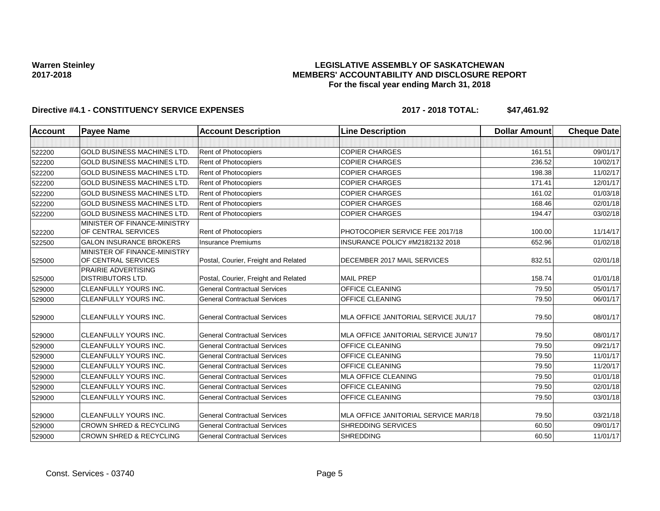### **LEGISLATIVE ASSEMBLY OF SASKATCHEWAN MEMBERS' ACCOUNTABILITY AND DISCLOSURE REPORT For the fiscal year ending March 31, 2018**

| <b>Account</b> | <b>Payee Name</b>                                      | <b>Account Description</b>           | <b>Line Description</b>              | <b>Dollar Amount</b> | <b>Cheque Date</b> |
|----------------|--------------------------------------------------------|--------------------------------------|--------------------------------------|----------------------|--------------------|
|                |                                                        |                                      |                                      |                      |                    |
| 522200         | <b>GOLD BUSINESS MACHINES LTD.</b>                     | Rent of Photocopiers                 | <b>COPIER CHARGES</b>                | 161.51               | 09/01/17           |
| 522200         | <b>GOLD BUSINESS MACHINES LTD</b>                      | <b>Rent of Photocopiers</b>          | <b>COPIER CHARGES</b>                | 236.52               | 10/02/17           |
| 522200         | <b>GOLD BUSINESS MACHINES LTD.</b>                     | <b>Rent of Photocopiers</b>          | <b>COPIER CHARGES</b>                | 198.38               | 11/02/17           |
| 522200         | <b>GOLD BUSINESS MACHINES LTD</b>                      | Rent of Photocopiers                 | <b>COPIER CHARGES</b>                | 171.41               | 12/01/17           |
| 522200         | <b>GOLD BUSINESS MACHINES LTD</b>                      | Rent of Photocopiers                 | <b>COPIER CHARGES</b>                | 161.02               | 01/03/18           |
| 522200         | <b>GOLD BUSINESS MACHINES LTD.</b>                     | Rent of Photocopiers                 | <b>COPIER CHARGES</b>                | 168.46               | 02/01/18           |
| 522200         | <b>GOLD BUSINESS MACHINES LTD.</b>                     | <b>Rent of Photocopiers</b>          | <b>COPIER CHARGES</b>                | 194.47               | 03/02/18           |
| 522200         | MINISTER OF FINANCE-MINISTRY<br>OF CENTRAL SERVICES    | Rent of Photocopiers                 | PHOTOCOPIER SERVICE FEE 2017/18      | 100.00               | 11/14/17           |
| 522500         | <b>GALON INSURANCE BROKERS</b>                         | <b>Insurance Premiums</b>            | INSURANCE POLICY #M2182132 2018      | 652.96               | 01/02/18           |
| 525000         | MINISTER OF FINANCE-MINISTRY<br>OF CENTRAL SERVICES    | Postal, Courier, Freight and Related | DECEMBER 2017 MAIL SERVICES          | 832.51               | 02/01/18           |
| 525000         | <b>PRAIRIE ADVERTISING</b><br><b>DISTRIBUTORS LTD.</b> | Postal, Courier, Freight and Related | <b>MAIL PREP</b>                     | 158.74               | 01/01/18           |
| 529000         | <b>CLEANFULLY YOURS INC.</b>                           | <b>General Contractual Services</b>  | <b>OFFICE CLEANING</b>               | 79.50                | 05/01/17           |
| 529000         | <b>CLEANFULLY YOURS INC.</b>                           | <b>General Contractual Services</b>  | OFFICE CLEANING                      | 79.50                | 06/01/17           |
| 529000         | <b>CLEANFULLY YOURS INC.</b>                           | <b>General Contractual Services</b>  | MLA OFFICE JANITORIAL SERVICE JUL/17 | 79.50                | 08/01/17           |
| 529000         | CLEANFULLY YOURS INC.                                  | <b>General Contractual Services</b>  | MLA OFFICE JANITORIAL SERVICE JUN/17 | 79.50                | 08/01/17           |
| 529000         | <b>CLEANFULLY YOURS INC.</b>                           | <b>General Contractual Services</b>  | <b>OFFICE CLEANING</b>               | 79.50                | 09/21/17           |
| 529000         | <b>CLEANFULLY YOURS INC.</b>                           | <b>General Contractual Services</b>  | <b>OFFICE CLEANING</b>               | 79.50                | 11/01/17           |
| 529000         | CLEANFULLY YOURS INC.                                  | <b>General Contractual Services</b>  | <b>OFFICE CLEANING</b>               | 79.50                | 11/20/17           |
| 529000         | <b>CLEANFULLY YOURS INC.</b>                           | <b>General Contractual Services</b>  | <b>MLA OFFICE CLEANING</b>           | 79.50                | 01/01/18           |
| 529000         | <b>CLEANFULLY YOURS INC.</b>                           | <b>General Contractual Services</b>  | <b>OFFICE CLEANING</b>               | 79.50                | 02/01/18           |
| 529000         | CLEANFULLY YOURS INC.                                  | <b>General Contractual Services</b>  | OFFICE CLEANING                      | 79.50                | 03/01/18           |
| 529000         | <b>CLEANFULLY YOURS INC.</b>                           | <b>General Contractual Services</b>  | MLA OFFICE JANITORIAL SERVICE MAR/18 | 79.50                | 03/21/18           |
| 529000         | <b>CROWN SHRED &amp; RECYCLING</b>                     | <b>General Contractual Services</b>  | <b>SHREDDING SERVICES</b>            | 60.50                | 09/01/17           |
| 529000         | <b>CROWN SHRED &amp; RECYCLING</b>                     | <b>General Contractual Services</b>  | <b>SHREDDING</b>                     | 60.50                | 11/01/17           |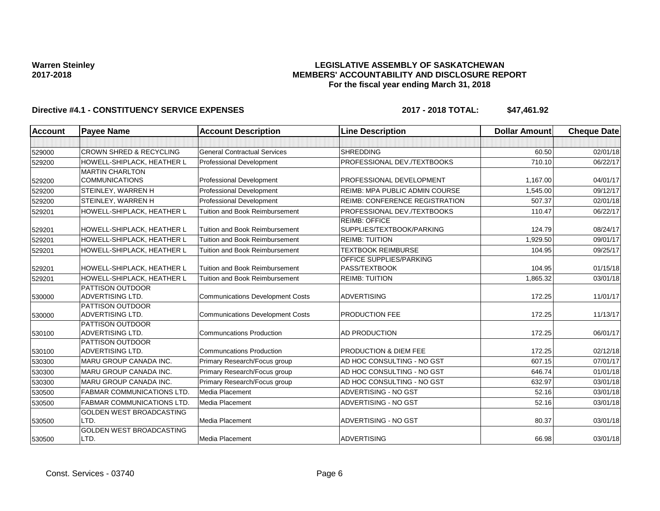### **LEGISLATIVE ASSEMBLY OF SASKATCHEWAN MEMBERS' ACCOUNTABILITY AND DISCLOSURE REPORT For the fiscal year ending March 31, 2018**

| <b>Account</b> | <b>Payee Name</b>                                  | <b>Account Description</b>              | <b>Line Description</b>                           | <b>Dollar Amount</b> | <b>Cheque Date</b> |
|----------------|----------------------------------------------------|-----------------------------------------|---------------------------------------------------|----------------------|--------------------|
|                |                                                    |                                         |                                                   |                      |                    |
| 529000         | <b>CROWN SHRED &amp; RECYCLING</b>                 | <b>General Contractual Services</b>     | <b>SHREDDING</b>                                  | 60.50                | 02/01/18           |
| 529200         | HOWELL-SHIPLACK, HEATHER L                         | <b>Professional Development</b>         | PROFESSIONAL DEV./TEXTBOOKS                       | 710.10               | 06/22/17           |
|                | <b>MARTIN CHARLTON</b>                             |                                         |                                                   |                      |                    |
| 529200         | <b>COMMUNICATIONS</b>                              | Professional Development                | PROFESSIONAL DEVELOPMENT                          | 1,167.00             | 04/01/17           |
| 529200         | STEINLEY, WARREN H                                 | Professional Development                | <b>REIMB: MPA PUBLIC ADMIN COURSE</b>             | 1,545.00             | 09/12/17           |
| 529200         | STEINLEY, WARREN H                                 | Professional Development                | <b>REIMB: CONFERENCE REGISTRATION</b>             | 507.37               | 02/01/18           |
| 529201         | HOWELL-SHIPLACK, HEATHER L                         | Tuition and Book Reimbursement          | PROFESSIONAL DEV./TEXTBOOKS                       | 110.47               | 06/22/17           |
| 529201         | HOWELL-SHIPLACK, HEATHER L                         | Tuition and Book Reimbursement          | <b>REIMB: OFFICE</b><br>SUPPLIES/TEXTBOOK/PARKING | 124.79               | 08/24/17           |
| 529201         | HOWELL-SHIPLACK, HEATHER L                         | <b>Tuition and Book Reimbursement</b>   | <b>REIMB: TUITION</b>                             | 1,929.50             | 09/01/17           |
| 529201         | HOWELL-SHIPLACK, HEATHER L                         | <b>Tuition and Book Reimbursement</b>   | <b>TEXTBOOK REIMBURSE</b>                         | 104.95               | 09/25/17           |
| 529201         | HOWELL-SHIPLACK, HEATHER L                         | <b>Tuition and Book Reimbursement</b>   | <b>OFFICE SUPPLIES/PARKING</b><br>PASS/TEXTBOOK   | 104.95               | 01/15/18           |
| 529201         | HOWELL-SHIPLACK, HEATHER L                         | <b>Tuition and Book Reimbursement</b>   | <b>REIMB: TUITION</b>                             | 1,865.32             | 03/01/18           |
| 530000         | <b>PATTISON OUTDOOR</b><br><b>ADVERTISING LTD.</b> | <b>Communications Development Costs</b> | <b>ADVERTISING</b>                                | 172.25               | 11/01/17           |
| 530000         | <b>PATTISON OUTDOOR</b><br><b>ADVERTISING LTD.</b> | <b>Communications Development Costs</b> | PRODUCTION FEE                                    | 172.25               | 11/13/17           |
| 530100         | <b>PATTISON OUTDOOR</b><br>ADVERTISING LTD.        | <b>Communcations Production</b>         | AD PRODUCTION                                     | 172.25               | 06/01/17           |
| 530100         | PATTISON OUTDOOR<br><b>ADVERTISING LTD.</b>        | <b>Communcations Production</b>         | <b>PRODUCTION &amp; DIEM FEE</b>                  | 172.25               | 02/12/18           |
| 530300         | <b>MARU GROUP CANADA INC.</b>                      | Primary Research/Focus group            | AD HOC CONSULTING - NO GST                        | 607.15               | 07/01/17           |
| 530300         | <b>MARU GROUP CANADA INC.</b>                      | Primary Research/Focus group            | AD HOC CONSULTING - NO GST                        | 646.74               | 01/01/18           |
| 530300         | MARU GROUP CANADA INC.                             | Primary Research/Focus group            | AD HOC CONSULTING - NO GST                        | 632.97               | 03/01/18           |
| 530500         | <b>FABMAR COMMUNICATIONS LTD.</b>                  | Media Placement                         | ADVERTISING - NO GST                              | 52.16                | 03/01/18           |
| 530500         | <b>FABMAR COMMUNICATIONS LTD.</b>                  | Media Placement                         | ADVERTISING - NO GST                              | 52.16                | 03/01/18           |
| 530500         | <b>GOLDEN WEST BROADCASTING</b><br>LTD.            | Media Placement                         | ADVERTISING - NO GST                              | 80.37                | 03/01/18           |
| 530500         | GOLDEN WEST BROADCASTING<br>LTD.                   | Media Placement                         | <b>ADVERTISING</b>                                | 66.98                | 03/01/18           |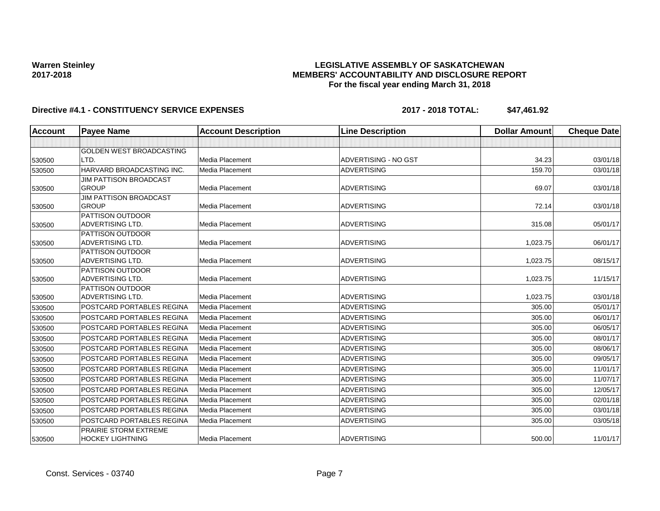### **LEGISLATIVE ASSEMBLY OF SASKATCHEWAN MEMBERS' ACCOUNTABILITY AND DISCLOSURE REPORT For the fiscal year ending March 31, 2018**

| Account | <b>Payee Name</b>                           | <b>Account Description</b> | <b>Line Description</b> | <b>Dollar Amount</b> | <b>Cheque Date</b> |
|---------|---------------------------------------------|----------------------------|-------------------------|----------------------|--------------------|
|         |                                             |                            |                         |                      |                    |
|         | <b>GOLDEN WEST BROADCASTING</b>             |                            |                         |                      |                    |
| 530500  | LTD.                                        | Media Placement            | ADVERTISING - NO GST    | 34.23                | 03/01/18           |
| 530500  | HARVARD BROADCASTING INC.                   | <b>Media Placement</b>     | <b>ADVERTISING</b>      | 159.70               | 03/01/18           |
|         | <b>JIM PATTISON BROADCAST</b>               |                            |                         |                      |                    |
| 530500  | <b>GROUP</b>                                | <b>Media Placement</b>     | <b>ADVERTISING</b>      | 69.07                | 03/01/18           |
|         | JIM PATTISON BROADCAST                      |                            |                         |                      |                    |
| 530500  | <b>GROUP</b>                                | Media Placement            | <b>ADVERTISING</b>      | 72.14                | 03/01/18           |
|         | <b>PATTISON OUTDOOR</b>                     |                            |                         |                      |                    |
| 530500  | <b>ADVERTISING LTD.</b>                     | Media Placement            | <b>ADVERTISING</b>      | 315.08               | 05/01/17           |
|         | <b>PATTISON OUTDOOR</b>                     |                            |                         |                      |                    |
| 530500  | <b>ADVERTISING LTD.</b>                     | <b>Media Placement</b>     | <b>ADVERTISING</b>      | 1,023.75             | 06/01/17           |
|         | <b>PATTISON OUTDOOR</b><br>ADVERTISING LTD. | Media Placement            | <b>ADVERTISING</b>      | 1,023.75             | 08/15/17           |
| 530500  | <b>PATTISON OUTDOOR</b>                     |                            |                         |                      |                    |
| 530500  | <b>ADVERTISING LTD.</b>                     | Media Placement            | <b>ADVERTISING</b>      | 1,023.75             | 11/15/17           |
|         | <b>PATTISON OUTDOOR</b>                     |                            |                         |                      |                    |
| 530500  | <b>ADVERTISING LTD.</b>                     | <b>Media Placement</b>     | <b>ADVERTISING</b>      | 1,023.75             | 03/01/18           |
| 530500  | POSTCARD PORTABLES REGINA                   | <b>Media Placement</b>     | <b>ADVERTISING</b>      | 305.00               | 05/01/17           |
| 530500  | POSTCARD PORTABLES REGINA                   | Media Placement            | <b>ADVERTISING</b>      | 305.00               | 06/01/17           |
| 530500  | POSTCARD PORTABLES REGINA                   | <b>Media Placement</b>     | <b>ADVERTISING</b>      | 305.00               | 06/05/17           |
| 530500  | POSTCARD PORTABLES REGINA                   | Media Placement            | <b>ADVERTISING</b>      | 305.00               | 08/01/17           |
| 530500  | POSTCARD PORTABLES REGINA                   | <b>Media Placement</b>     | <b>ADVERTISING</b>      | 305.00               | 08/06/17           |
| 530500  | <b>POSTCARD PORTABLES REGINA</b>            | Media Placement            | <b>ADVERTISING</b>      | 305.00               | 09/05/17           |
| 530500  | POSTCARD PORTABLES REGINA                   | Media Placement            | <b>ADVERTISING</b>      | 305.00               | 11/01/17           |
| 530500  | <b>POSTCARD PORTABLES REGINA</b>            | Media Placement            | <b>ADVERTISING</b>      | 305.00               | 11/07/17           |
| 530500  | POSTCARD PORTABLES REGINA                   | Media Placement            | <b>ADVERTISING</b>      | 305.00               | 12/05/17           |
| 530500  | POSTCARD PORTABLES REGINA                   | Media Placement            | <b>ADVERTISING</b>      | 305.00               | 02/01/18           |
| 530500  | <b>POSTCARD PORTABLES REGINA</b>            | <b>Media Placement</b>     | <b>ADVERTISING</b>      | 305.00               | 03/01/18           |
| 530500  | POSTCARD PORTABLES REGINA                   | Media Placement            | <b>ADVERTISING</b>      | 305.00               | 03/05/18           |
|         | PRAIRIE STORM EXTREME                       |                            |                         |                      |                    |
| 530500  | <b>HOCKEY LIGHTNING</b>                     | Media Placement            | <b>ADVERTISING</b>      | 500.00               | 11/01/17           |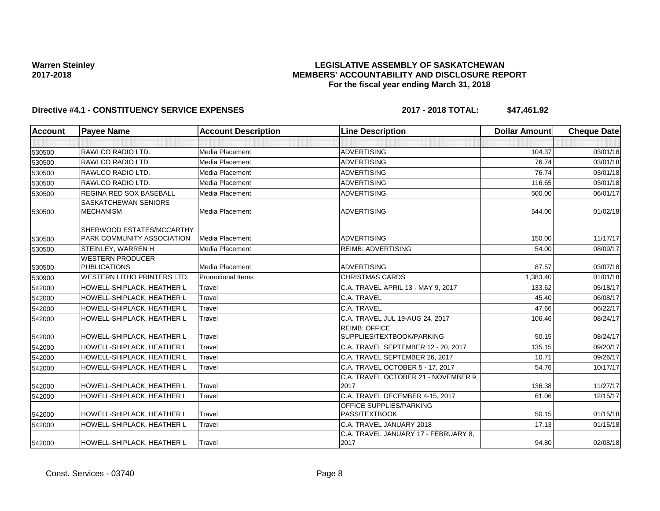### **LEGISLATIVE ASSEMBLY OF SASKATCHEWAN MEMBERS' ACCOUNTABILITY AND DISCLOSURE REPORT For the fiscal year ending March 31, 2018**

| <b>Account</b> | <b>Payee Name</b>                  | <b>Account Description</b> | <b>Line Description</b>                      | <b>Dollar Amount</b> | <b>Cheque Date</b> |
|----------------|------------------------------------|----------------------------|----------------------------------------------|----------------------|--------------------|
|                |                                    |                            |                                              |                      |                    |
| 530500         | RAWLCO RADIO LTD.                  | Media Placement            | <b>ADVERTISING</b>                           | 104.37               | 03/01/18           |
| 530500         | <b>RAWLCO RADIO LTD.</b>           | Media Placement            | <b>ADVERTISING</b>                           | 76.74                | 03/01/18           |
| 530500         | <b>RAWLCO RADIO LTD.</b>           | Media Placement            | <b>ADVERTISING</b>                           | 76.74                | 03/01/18           |
| 530500         | <b>RAWLCO RADIO LTD.</b>           | <b>Media Placement</b>     | <b>ADVERTISING</b>                           | 116.65               | 03/01/18           |
| 530500         | <b>REGINA RED SOX BASEBALL</b>     | Media Placement            | <b>ADVERTISING</b>                           | 500.00               | 06/01/17           |
|                | <b>SASKATCHEWAN SENIORS</b>        |                            |                                              |                      |                    |
| 530500         | <b>MECHANISM</b>                   | Media Placement            | <b>ADVERTISING</b>                           | 544.00               | 01/02/18           |
|                | SHERWOOD ESTATES/MCCARTHY          |                            |                                              |                      |                    |
| 530500         | PARK COMMUNITY ASSOCIATION         | Media Placement            | <b>ADVERTISING</b>                           | 150.00               | 11/17/17           |
| 530500         | <b>STEINLEY, WARREN H</b>          | Media Placement            | <b>REIMB: ADVERTISING</b>                    | 54.00                | 08/09/17           |
|                | <b>WESTERN PRODUCER</b>            |                            |                                              |                      |                    |
| 530500         | <b>PUBLICATIONS</b>                | Media Placement            | <b>ADVERTISING</b>                           | 87.57                | 03/07/18           |
| 530900         | <b>WESTERN LITHO PRINTERS LTD.</b> | <b>Promotional Items</b>   | <b>CHRISTMAS CARDS</b>                       | 1,383.40             | 01/01/18           |
| 542000         | HOWELL-SHIPLACK, HEATHER L         | Travel                     | C.A. TRAVEL APRIL 13 - MAY 9, 2017           | 133.62               | 05/18/17           |
| 542000         | HOWELL-SHIPLACK, HEATHER L         | Travel                     | C.A. TRAVEL                                  | 45.40                | 06/08/17           |
| 542000         | HOWELL-SHIPLACK, HEATHER L         | Travel                     | C.A. TRAVEL                                  | 47.66                | 06/22/17           |
| 542000         | HOWELL-SHIPLACK, HEATHER L         | Travel                     | C.A. TRAVEL JUL 19-AUG 24, 2017              | 106.46               | 08/24/17           |
|                |                                    |                            | <b>REIMB: OFFICE</b>                         | 50.15                | 08/24/17           |
| 542000         | HOWELL-SHIPLACK, HEATHER L         | Travel                     | SUPPLIES/TEXTBOOK/PARKING                    |                      |                    |
| 542000         | HOWELL-SHIPLACK, HEATHER L         | Travel                     | C.A. TRAVEL SEPTEMBER 12 - 20, 2017          | 135.15               | 09/20/17           |
| 542000         | HOWELL-SHIPLACK, HEATHER L         | Travel                     | C.A. TRAVEL SEPTEMBER 26, 2017               | 10.71                | 09/26/17           |
| 542000         | HOWELL-SHIPLACK, HEATHER L         | Travel                     | C.A. TRAVEL OCTOBER 5 - 17, 2017             | 54.76                | 10/17/17           |
|                |                                    |                            | C.A. TRAVEL OCTOBER 21 - NOVEMBER 9.         |                      |                    |
| 542000         | HOWELL-SHIPLACK, HEATHER L         | Travel                     | 2017                                         | 136.38               | 11/27/17           |
| 542000         | HOWELL-SHIPLACK, HEATHER L         | Travel                     | C.A. TRAVEL DECEMBER 4-15, 2017              | 61.06                | 12/15/17           |
|                |                                    |                            | OFFICE SUPPLIES/PARKING                      |                      |                    |
| 542000         | HOWELL-SHIPLACK, HEATHER L         | Travel                     | PASS/TEXTBOOK                                | 50.15                | 01/15/18           |
| 542000         | HOWELL-SHIPLACK, HEATHER L         | Travel                     | C.A. TRAVEL JANUARY 2018                     | 17.13                | 01/15/18           |
| 542000         | HOWELL-SHIPLACK, HEATHER L         | Travel                     | C.A. TRAVEL JANUARY 17 - FEBRUARY 8,<br>2017 | 94.80                | 02/08/18           |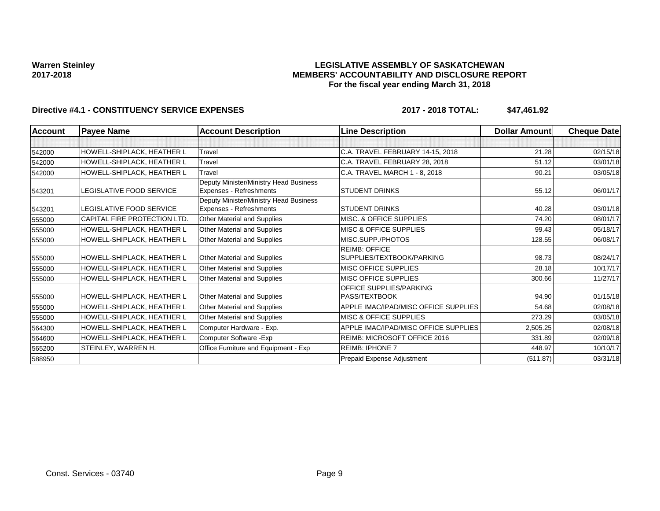#### **LEGISLATIVE ASSEMBLY OF SASKATCHEWAN MEMBERS' ACCOUNTABILITY AND DISCLOSURE REPORT For the fiscal year ending March 31, 2018**

| <b>Account</b> | <b>Payee Name</b>            | <b>Account Description</b>                                        | <b>Line Description</b>                         | Dollar Amount | <b>Cheque Date</b> |
|----------------|------------------------------|-------------------------------------------------------------------|-------------------------------------------------|---------------|--------------------|
|                |                              |                                                                   |                                                 |               |                    |
| 542000         | HOWELL-SHIPLACK, HEATHER L   | Travel                                                            | C.A. TRAVEL FEBRUARY 14-15, 2018                | 21.28         | 02/15/18           |
| 542000         | HOWELL-SHIPLACK, HEATHER L   | Travel                                                            | C.A. TRAVEL FEBRUARY 28, 2018                   | 51.12         | 03/01/18           |
| 542000         | HOWELL-SHIPLACK, HEATHER L   | Travel                                                            | C.A. TRAVEL MARCH 1 - 8, 2018                   | 90.21         | 03/05/18           |
| 543201         | LEGISLATIVE FOOD SERVICE     | Deputy Minister/Ministry Head Business<br>Expenses - Refreshments | <b>STUDENT DRINKS</b>                           | 55.12         | 06/01/17           |
|                |                              | Deputy Minister/Ministry Head Business                            |                                                 |               |                    |
| 543201         | LEGISLATIVE FOOD SERVICE     | Expenses - Refreshments                                           | <b>STUDENT DRINKS</b>                           | 40.28         | 03/01/18           |
| 555000         | CAPITAL FIRE PROTECTION LTD. | Other Material and Supplies                                       | <b>MISC. &amp; OFFICE SUPPLIES</b>              | 74.20         | 08/01/17           |
| 555000         | HOWELL-SHIPLACK, HEATHER L   | Other Material and Supplies                                       | <b>MISC &amp; OFFICE SUPPLIES</b>               | 99.43         | 05/18/17           |
| 555000         | HOWELL-SHIPLACK, HEATHER L   | Other Material and Supplies                                       | MISC.SUPP./PHOTOS                               | 128.55        | 06/08/17           |
|                |                              |                                                                   | <b>REIMB: OFFICE</b>                            |               |                    |
| 555000         | HOWELL-SHIPLACK, HEATHER L   | Other Material and Supplies                                       | SUPPLIES/TEXTBOOK/PARKING                       | 98.73         | 08/24/17           |
| 555000         | HOWELL-SHIPLACK, HEATHER L   | Other Material and Supplies                                       | <b>MISC OFFICE SUPPLIES</b>                     | 28.18         | 10/17/17           |
| 555000         | HOWELL-SHIPLACK, HEATHER L   | Other Material and Supplies                                       | <b>MISC OFFICE SUPPLIES</b>                     | 300.66        | 11/27/17           |
| 555000         | HOWELL-SHIPLACK, HEATHER L   | Other Material and Supplies                                       | <b>OFFICE SUPPLIES/PARKING</b><br>PASS/TEXTBOOK | 94.90         | 01/15/18           |
| 555000         | HOWELL-SHIPLACK, HEATHER L   | Other Material and Supplies                                       | APPLE IMAC/IPAD/MISC OFFICE SUPPLIES            | 54.68         | 02/08/18           |
| 555000         | HOWELL-SHIPLACK, HEATHER L   | Other Material and Supplies                                       | <b>MISC &amp; OFFICE SUPPLIES</b>               | 273.29        | 03/05/18           |
| 564300         | HOWELL-SHIPLACK, HEATHER L   | Computer Hardware - Exp.                                          | APPLE IMAC/IPAD/MISC OFFICE SUPPLIES            | 2,505.25      | 02/08/18           |
| 564600         | HOWELL-SHIPLACK, HEATHER L   | Computer Software - Exp                                           | <b>REIMB: MICROSOFT OFFICE 2016</b>             | 331.89        | 02/09/18           |
| 565200         | STEINLEY, WARREN H.          | Office Furniture and Equipment - Exp                              | <b>REIMB: IPHONE 7</b>                          | 448.97        | 10/10/17           |
| 588950         |                              |                                                                   | Prepaid Expense Adjustment                      | (511.87)      | 03/31/18           |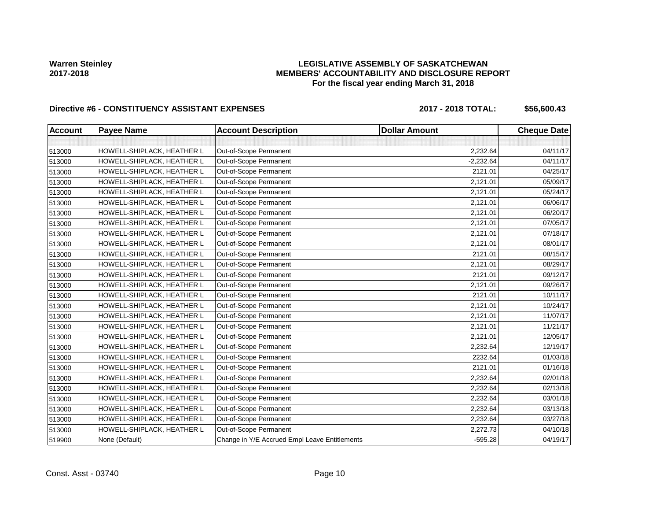### **LEGISLATIVE ASSEMBLY OF SASKATCHEWAN MEMBERS' ACCOUNTABILITY AND DISCLOSURE REPORT For the fiscal year ending March 31, 2018**

# Directive #6 - CONSTITUENCY ASSISTANT EXPENSES 2017 - 2018 TOTAL: \$56,600.43

| <b>Account</b> | <b>Payee Name</b>          | <b>Account Description</b>                    | <b>Dollar Amount</b> | <b>Cheque Date</b> |
|----------------|----------------------------|-----------------------------------------------|----------------------|--------------------|
|                |                            |                                               |                      |                    |
| 513000         | HOWELL-SHIPLACK, HEATHER L | Out-of-Scope Permanent                        | 2,232.64             | 04/11/17           |
| 513000         | HOWELL-SHIPLACK, HEATHER L | Out-of-Scope Permanent                        | $-2,232.64$          | 04/11/17           |
| 513000         | HOWELL-SHIPLACK, HEATHER L | Out-of-Scope Permanent                        | 2121.01              | 04/25/17           |
| 513000         | HOWELL-SHIPLACK, HEATHER L | Out-of-Scope Permanent                        | 2,121.01             | 05/09/17           |
| 513000         | HOWELL-SHIPLACK, HEATHER L | Out-of-Scope Permanent                        | 2,121.01             | 05/24/17           |
| 513000         | HOWELL-SHIPLACK, HEATHER L | Out-of-Scope Permanent                        | 2,121.01             | 06/06/17           |
| 513000         | HOWELL-SHIPLACK, HEATHER L | Out-of-Scope Permanent                        | 2,121.01             | 06/20/17           |
| 513000         | HOWELL-SHIPLACK, HEATHER L | Out-of-Scope Permanent                        | 2,121.01             | 07/05/17           |
| 513000         | HOWELL-SHIPLACK, HEATHER L | Out-of-Scope Permanent                        | 2,121.01             | 07/18/17           |
| 513000         | HOWELL-SHIPLACK, HEATHER L | Out-of-Scope Permanent                        | 2,121.01             | 08/01/17           |
| 513000         | HOWELL-SHIPLACK, HEATHER L | Out-of-Scope Permanent                        | 2121.01              | 08/15/17           |
| 513000         | HOWELL-SHIPLACK, HEATHER L | Out-of-Scope Permanent                        | 2,121.01             | 08/29/17           |
| 513000         | HOWELL-SHIPLACK, HEATHER L | Out-of-Scope Permanent                        | 2121.01              | 09/12/17           |
| 513000         | HOWELL-SHIPLACK, HEATHER L | Out-of-Scope Permanent                        | 2,121.01             | 09/26/17           |
| 513000         | HOWELL-SHIPLACK, HEATHER L | Out-of-Scope Permanent                        | 2121.01              | 10/11/17           |
| 513000         | HOWELL-SHIPLACK, HEATHER L | Out-of-Scope Permanent                        | 2,121.01             | 10/24/17           |
| 513000         | HOWELL-SHIPLACK, HEATHER L | Out-of-Scope Permanent                        | 2,121.01             | 11/07/17           |
| 513000         | HOWELL-SHIPLACK, HEATHER L | Out-of-Scope Permanent                        | 2,121.01             | 11/21/17           |
| 513000         | HOWELL-SHIPLACK, HEATHER L | Out-of-Scope Permanent                        | 2,121.01             | 12/05/17           |
| 513000         | HOWELL-SHIPLACK, HEATHER L | Out-of-Scope Permanent                        | 2,232.64             | 12/19/17           |
| 513000         | HOWELL-SHIPLACK, HEATHER L | Out-of-Scope Permanent                        | 2232.64              | 01/03/18           |
| 513000         | HOWELL-SHIPLACK, HEATHER L | Out-of-Scope Permanent                        | 2121.01              | 01/16/18           |
| 513000         | HOWELL-SHIPLACK, HEATHER L | Out-of-Scope Permanent                        | 2,232.64             | 02/01/18           |
| 513000         | HOWELL-SHIPLACK, HEATHER L | Out-of-Scope Permanent                        | 2,232.64             | 02/13/18           |
| 513000         | HOWELL-SHIPLACK, HEATHER L | Out-of-Scope Permanent                        | 2,232.64             | 03/01/18           |
| 513000         | HOWELL-SHIPLACK, HEATHER L | Out-of-Scope Permanent                        | 2,232.64             | 03/13/18           |
| 513000         | HOWELL-SHIPLACK, HEATHER L | Out-of-Scope Permanent                        | 2,232.64             | 03/27/18           |
| 513000         | HOWELL-SHIPLACK, HEATHER L | Out-of-Scope Permanent                        | 2,272.73             | 04/10/18           |
| 519900         | None (Default)             | Change in Y/E Accrued Empl Leave Entitlements | $-595.28$            | 04/19/17           |